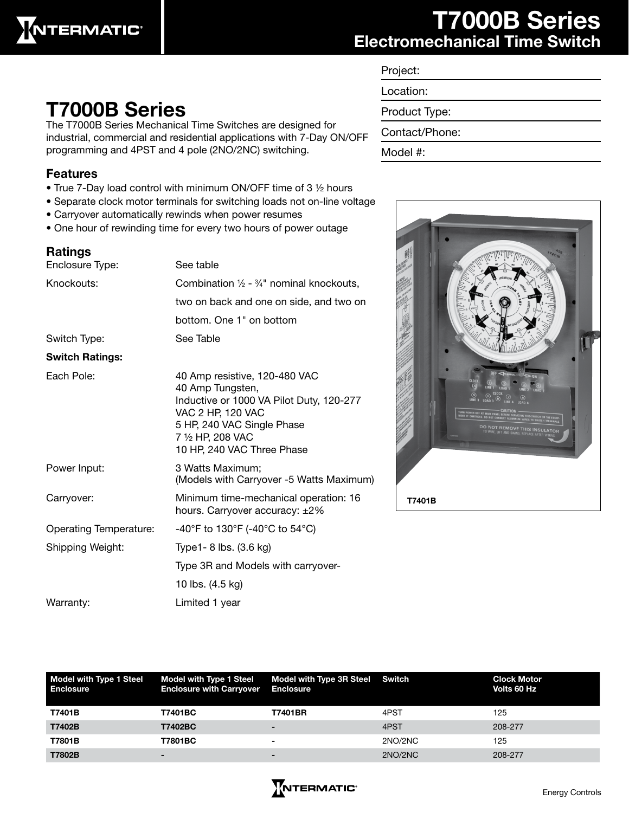

### T7000B Series Electromechanical Time Switch

| Project:       |
|----------------|
| Location:      |
| Product Type:  |
| Contact/Phone: |
| Model #:       |



## T7000B Series

The T7000B Series Mechanical Time Switches are designed for industrial, commercial and residential applications with 7-Day ON/OFF programming and 4PST and 4 pole (2NO/2NC) switching.

#### Features

- True 7-Day load control with minimum ON/OFF time of 3 ½ hours
- Separate clock motor terminals for switching loads not on-line voltage
- Carryover automatically rewinds when power resumes
- One hour of rewinding time for every two hours of power outage

#### Ratings

| Enclosure Type:        | See table                                                                                                                                                                                           |  |  |
|------------------------|-----------------------------------------------------------------------------------------------------------------------------------------------------------------------------------------------------|--|--|
| Knockouts:             | Combination $\frac{1}{2}$ - $\frac{3}{4}$ " nominal knockouts,                                                                                                                                      |  |  |
|                        | two on back and one on side, and two on                                                                                                                                                             |  |  |
|                        | bottom. One 1" on bottom                                                                                                                                                                            |  |  |
| Switch Type:           | See Table                                                                                                                                                                                           |  |  |
| <b>Switch Ratings:</b> |                                                                                                                                                                                                     |  |  |
| Each Pole:             | 40 Amp resistive, 120-480 VAC<br>40 Amp Tungsten,<br>Inductive or 1000 VA Pilot Duty, 120-277<br>VAC 2 HP, 120 VAC<br>5 HP, 240 VAC Single Phase<br>7 1/2 HP, 208 VAC<br>10 HP, 240 VAC Three Phase |  |  |
| Power Input:           | 3 Watts Maximum;<br>(Models with Carryover -5 Watts Maximum)                                                                                                                                        |  |  |
| Carryover:             | Minimum time-mechanical operation: 16<br>hours. Carryover accuracy: ±2%                                                                                                                             |  |  |
| Operating Temperature: | -40°F to 130°F (-40°C to 54°C)                                                                                                                                                                      |  |  |
| Shipping Weight:       | Type1- 8 lbs. (3.6 kg)                                                                                                                                                                              |  |  |
|                        | Type 3R and Models with carryover-                                                                                                                                                                  |  |  |
|                        | 10 lbs. (4.5 kg)                                                                                                                                                                                    |  |  |
| Warranty:              | Limited 1 year                                                                                                                                                                                      |  |  |
|                        |                                                                                                                                                                                                     |  |  |

| Model with Type 1 Steel<br>Enclosure | <b>Model with Type 1 Steel</b><br><b>Enclosure with Carryover</b> | Model with Type 3R Steel Switch<br><b>Enclosure</b> |         | <b>Clock Motor</b><br>Volts 60 Hz |
|--------------------------------------|-------------------------------------------------------------------|-----------------------------------------------------|---------|-----------------------------------|
| T7401B                               | T7401BC                                                           | <b>T7401BR</b>                                      | 4PST    | 125                               |
| T7402B                               | T7402BC                                                           | $\overline{\phantom{0}}$                            | 4PST    | 208-277                           |
| T7801B                               | T7801BC                                                           | $\overline{\phantom{0}}$                            | 2NO/2NC | 125                               |
| T7802B                               | -                                                                 | $\overline{\phantom{0}}$                            | 2NO/2NC | 208-277                           |